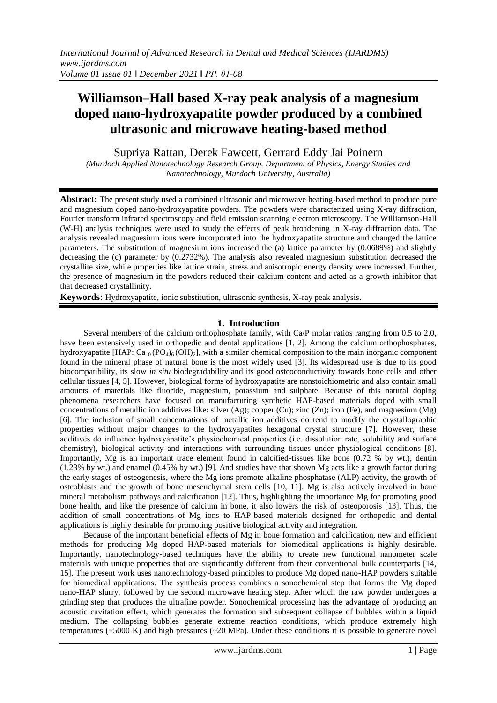# **Williamson–Hall based X-ray peak analysis of a magnesium doped nano-hydroxyapatite powder produced by a combined ultrasonic and microwave heating-based method**

Supriya Rattan, Derek Fawcett, Gerrard Eddy Jai Poinern

*(Murdoch Applied Nanotechnology Research Group. Department of Physics, Energy Studies and Nanotechnology, Murdoch University, Australia)*

**Abstract:** The present study used a combined ultrasonic and microwave heating-based method to produce pure and magnesium doped nano-hydroxyapatite powders. The powders were characterized using X-ray diffraction, Fourier transform infrared spectroscopy and field emission scanning electron microscopy. The Williamson-Hall (W-H) analysis techniques were used to study the effects of peak broadening in X-ray diffraction data. The analysis revealed magnesium ions were incorporated into the hydroxyapatite structure and changed the lattice parameters. The substitution of magnesium ions increased the (a) lattice parameter by (0.0689%) and slightly decreasing the (c) parameter by (0.2732%). The analysis also revealed magnesium substitution decreased the crystallite size, while properties like lattice strain, stress and anisotropic energy density were increased. Further, the presence of magnesium in the powders reduced their calcium content and acted as a growth inhibitor that that decreased crystallinity.

**Keywords:** Hydroxyapatite, ionic substitution, ultrasonic synthesis, X-ray peak analysis.

#### **1. Introduction**

Several members of the calcium orthophosphate family, with Ca/P molar ratios ranging from 0.5 to 2.0, have been extensively used in orthopedic and dental applications [1, 2]. Among the calcium orthophosphates, hydroxyapatite [HAP:  $Ca_{10} (PO_4)_6 (OH)_2$ ], with a similar chemical composition to the main inorganic component found in the mineral phase of natural bone is the most widely used [3]. Its widespread use is due to its good biocompatibility, its slow *in situ* biodegradability and its good osteoconductivity towards bone cells and other cellular tissues [4, 5]. However, biological forms of hydroxyapatite are nonstoichiometric and also contain small amounts of materials like fluoride, magnesium, potassium and sulphate. Because of this natural doping phenomena researchers have focused on manufacturing synthetic HAP-based materials doped with small concentrations of metallic ion additives like: silver  $(Ag)$ ; copper  $(Cu)$ ; zinc  $(Zn)$ ; iron (Fe), and magnesium  $(Mg)$ [6]. The inclusion of small concentrations of metallic ion additives do tend to modify the crystallographic properties without major changes to the hydroxyapatites hexagonal crystal structure [7]. However, these additives do influence hydroxyapatite's physiochemical properties (i.e. dissolution rate, solubility and surface chemistry), biological activity and interactions with surrounding tissues under physiological conditions [8]. Importantly, Mg is an important trace element found in calcified-tissues like bone (0.72 % by wt.), dentin (1.23% by wt.) and enamel (0.45% by wt.) [9]. And studies have that shown Mg acts like a growth factor during the early stages of osteogenesis, where the Mg ions promote alkaline phosphatase (ALP) activity, the growth of osteoblasts and the growth of bone mesenchymal stem cells [10, 11]. Mg is also actively involved in bone mineral metabolism pathways and calcification [12]. Thus, highlighting the importance Mg for promoting good bone health, and like the presence of calcium in bone, it also lowers the risk of osteoporosis [13]. Thus, the addition of small concentrations of Mg ions to HAP-based materials designed for orthopedic and dental applications is highly desirable for promoting positive biological activity and integration.

Because of the important beneficial effects of Mg in bone formation and calcification, new and efficient methods for producing Mg doped HAP-based materials for biomedical applications is highly desirable. Importantly, nanotechnology-based techniques have the ability to create new functional nanometer scale materials with unique properties that are significantly different from their conventional bulk counterparts [14, 15]. The present work uses nanotechnology-based principles to produce Mg doped nano-HAP powders suitable for biomedical applications. The synthesis process combines a sonochemical step that forms the Mg doped nano-HAP slurry, followed by the second microwave heating step. After which the raw powder undergoes a grinding step that produces the ultrafine powder. Sonochemical processing has the advantage of producing an acoustic cavitation effect, which generates the formation and subsequent collapse of bubbles within a liquid medium. The collapsing bubbles generate extreme reaction conditions, which produce extremely high temperatures (~5000 K) and high pressures (~20 MPa). Under these conditions it is possible to generate novel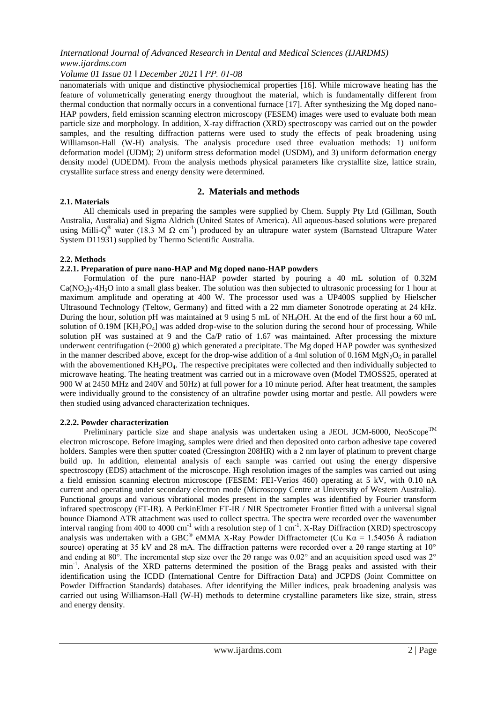*Volume 01 Issue 01 ǁ December 2021 ǁ PP. 01-08*

nanomaterials with unique and distinctive physiochemical properties [16]. While microwave heating has the feature of volumetrically generating energy throughout the material, which is fundamentally different from thermal conduction that normally occurs in a conventional furnace [17]. After synthesizing the Mg doped nano-HAP powders, field emission scanning electron microscopy (FESEM) images were used to evaluate both mean particle size and morphology. In addition, X-ray diffraction (XRD) spectroscopy was carried out on the powder samples, and the resulting diffraction patterns were used to study the effects of peak broadening using Williamson-Hall (W-H) analysis. The analysis procedure used three evaluation methods: 1) uniform deformation model (UDM); 2) uniform stress deformation model (USDM), and 3) uniform deformation energy density model (UDEDM). From the analysis methods physical parameters like crystallite size, lattice strain, crystallite surface stress and energy density were determined.

#### **2. Materials and methods**

#### **2.1. Materials**

All chemicals used in preparing the samples were supplied by Chem. Supply Pty Ltd (Gillman, South Australia, Australia) and Sigma Aldrich (United States of America). All aqueous-based solutions were prepared using Milli-Q<sup>®</sup> water (18.3 M  $\Omega$  cm<sup>-1</sup>) produced by an ultrapure water system (Barnstead Ultrapure Water System D11931) supplied by Thermo Scientific Australia.

#### **2.2. Methods**

#### **2.2.1. Preparation of pure nano-HAP and Mg doped nano-HAP powders**

Formulation of the pure nano-HAP powder started by pouring a 40 mL solution of 0.32M  $Ca(NO<sub>3</sub>)<sub>2</sub>·4H<sub>2</sub>O$  into a small glass beaker. The solution was then subjected to ultrasonic processing for 1 hour at maximum amplitude and operating at 400 W. The processor used was a UP400S supplied by Hielscher Ultrasound Technology (Teltow, Germany) and fitted with a 22 mm diameter Sonotrode operating at 24 kHz. During the hour, solution pH was maintained at 9 using 5 mL of NH4OH. At the end of the first hour a 60 mL solution of 0.19M  $[KH_2PO_4]$  was added drop-wise to the solution during the second hour of processing. While solution pH was sustained at 9 and the Ca/P ratio of 1.67 was maintained. After processing the mixture underwent centrifugation  $\left(\sim 2000 \text{ g}\right)$  which generated a precipitate. The Mg doped HAP powder was synthesized in the manner described above, except for the drop-wise addition of a 4ml solution of 0.16M  $MgN_2O_6$  in parallel with the abovementioned KH<sub>2</sub>PO<sub>4</sub>. The respective precipitates were collected and then individually subjected to microwave heating. The heating treatment was carried out in a microwave oven (Model TMOSS25, operated at 900 W at 2450 MHz and 240V and 50Hz) at full power for a 10 minute period. After heat treatment, the samples were individually ground to the consistency of an ultrafine powder using mortar and pestle. All powders were then studied using advanced characterization techniques.

#### **2.2.2. Powder characterization**

Preliminary particle size and shape analysis was undertaken using a JEOL JCM-6000, NeoScope<sup>TM</sup> electron microscope. Before imaging, samples were dried and then deposited onto carbon adhesive tape covered holders. Samples were then sputter coated (Cressington 208HR) with a 2 nm layer of platinum to prevent charge build up. In addition, elemental analysis of each sample was carried out using the energy dispersive spectroscopy (EDS) attachment of the microscope. High resolution images of the samples was carried out using a field emission scanning electron microscope (FESEM: FEI-Verios 460) operating at 5 kV, with 0.10 nA current and operating under secondary electron mode (Microscopy Centre at University of Western Australia). Functional groups and various vibrational modes present in the samples was identified by Fourier transform infrared spectroscopy (FT-IR). A PerkinElmer FT-IR / NIR Spectrometer Frontier fitted with a universal signal bounce Diamond ATR attachment was used to collect spectra. The spectra were recorded over the wavenumber interval ranging from 400 to 4000 cm<sup>-1</sup> with a resolution step of 1 cm<sup>-1</sup>. X-Ray Diffraction (XRD) spectroscopy analysis was undertaken with a GBC® eMMA X-Ray Powder Diffractometer (Cu K $\alpha$  = 1.54056 Å radiation source) operating at 35 kV and 28 mA. The diffraction patterns were recorded over a 2θ range starting at 10° and ending at 80°. The incremental step size over the 2θ range was 0.02° and an acquisition speed used was 2° min<sup>-1</sup>. Analysis of the XRD patterns determined the position of the Bragg peaks and assisted with their identification using the ICDD (International Centre for Diffraction Data) and JCPDS (Joint Committee on Powder Diffraction Standards) databases. After identifying the Miller indices, peak broadening analysis was carried out using Williamson-Hall (W-H) methods to determine crystalline parameters like size, strain, stress and energy density.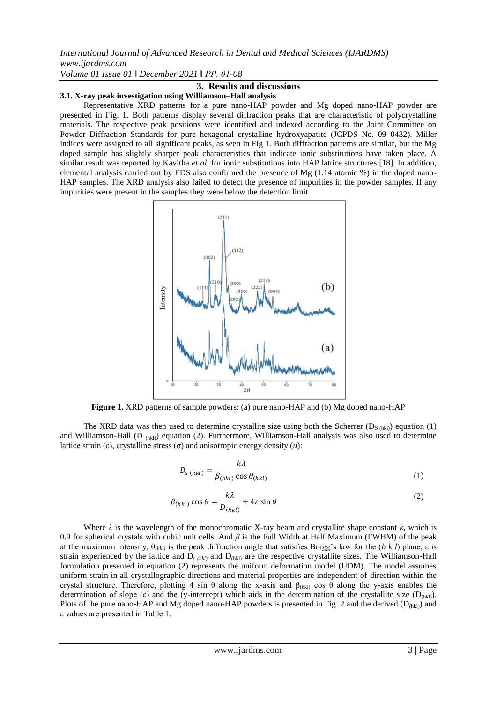*Volume 01 Issue 01 ǁ December 2021 ǁ PP. 01-08*

## **3. Results and discussions**

#### **3.1. X-ray peak investigation using Williamson–Hall analysis**

Representative XRD patterns for a pure nano-HAP powder and Mg doped nano-HAP powder are presented in Fig. 1. Both patterns display several diffraction peaks that are characteristic of polycrystalline materials. The respective peak positions were identified and indexed according to the Joint Committee on Powder Diffraction Standards for pure hexagonal crystalline hydroxyapatite (JCPDS No. 09–0432). Miller indices were assigned to all significant peaks, as seen in Fig 1. Both diffraction patterns are similar, but the Mg doped sample has slightly sharper peak characteristics that indicate ionic substitutions have taken place. A similar result was reported by Kavitha *et al*. for ionic substitutions into HAP lattice structures [18]. In addition, elemental analysis carried out by EDS also confirmed the presence of Mg (1.14 atomic %) in the doped nano-HAP samples. The XRD analysis also failed to detect the presence of impurities in the powder samples. If any impurities were present in the samples they were below the detection limit.



**Figure 1.** XRD patterns of sample powders: (a) pure nano-HAP and (b) Mg doped nano-HAP

The XRD data was then used to determine crystallite size using both the Scherrer  $(D_{S (hkl)})$  equation (1) and Williamson-Hall (D  $_{\text{(hkl)}}$ ) equation (2). Furthermore, Williamson-Hall analysis was also used to determine lattice strain (ε), crystalline stress (σ) and anisotropic energy density (*u*):

$$
D_{s(hkl)} = \frac{k\lambda}{\beta_{(hkl)}\cos\theta_{(hkl)}}
$$
(1)

$$
\beta_{(hkl)}\cos\theta = \frac{k\lambda}{D_{(hkl)}} + 4\varepsilon\sin\theta\tag{2}
$$

Where  $\lambda$  is the wavelength of the monochromatic X-ray beam and crystallite shape constant  $k$ , which is 0.9 for spherical crystals with cubic unit cells. And *β* is the Full Width at Half Maximum (FWHM) of the peak at the maximum intensity, θ*(hkl)* is the peak diffraction angle that satisfies Bragg's law for the (*h k l*) plane, ε is strain experienced by the lattice and  $D_{s (hkl)}$  and  $D_{(hkl)}$  are the respective crystallite sizes. The Williamson-Hall formulation presented in equation (2) represents the uniform deformation model (UDM). The model assumes uniform strain in all crystallographic directions and material properties are independent of direction within the crystal structure. Therefore, plotting 4 sin θ along the x-axis and  $β$ <sub>(hkl)</sub> cos θ along the y-axis enables the determination of slope (ε) and the (y-intercept) which aids in the determination of the crystallite size  $(D_{(hkl)})$ . Plots of the pure nano-HAP and Mg doped nano-HAP powders is presented in Fig. 2 and the derived  $(D_{(hkl)})$  and ε values are presented in Table 1.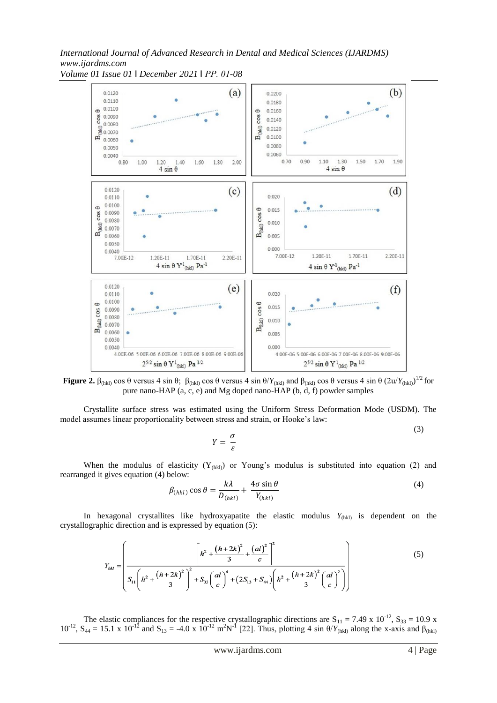*International Journal of Advanced Research in Dental and Medical Sciences (IJARDMS) www.ijardms.com Volume 01 Issue 01 ǁ December 2021 ǁ PP. 01-08*



**Figure 2.**  $\beta_{(hkl)}$  cos  $\theta$  versus 4 sin  $\theta$ ;  $\beta_{(hkl)}$  cos  $\theta$  versus 4 sin  $\theta/Y_{(hkl)}$  and  $\beta_{(hkl)}$  cos  $\theta$  versus 4 sin  $\theta$   $(2u/Y_{(hkl)})^{1/2}$  for pure nano-HAP (a, c, e) and Mg doped nano-HAP (b, d, f) powder samples

Crystallite surface stress was estimated using the Uniform Stress Deformation Mode (USDM). The model assumes linear proportionality between stress and strain, or Hooke's law:  $(3)$ 

$$
Y = \frac{\sigma}{\varepsilon}
$$

When the modulus of elasticity  $(Y_{(hkt)})$  or Young's modulus is substituted into equation (2) and rearranged it gives equation (4) below:

$$
\beta_{(hkl)}\cos\theta = \frac{k\lambda}{D_{(hkl)}} + \frac{4\sigma\sin\theta}{Y_{(hkl)}}
$$
(4)

In hexagonal crystallites like hydroxyapatite the elastic modulus  $Y_{(hkl)}$  is dependent on the crystallographic direction and is expressed by equation (5):

$$
Y_{hkl} = \left(\frac{\left[h^2 + \frac{(h+2k)^2}{3} + \frac{(al)^2}{c}\right]^2}{S_{11}\left(h^2 + \frac{(h+2k)^2}{3}\right)^2 + S_{33}\left(\frac{al}{c}\right)^4 + (2S_{13} + S_{44})\left(h^2 + \frac{(h+2k)^2}{3}\left(\frac{al}{c}\right)^2\right)}\right)
$$
(5)

The elastic compliances for the respective crystallographic directions are  $S_{11} = 7.49 \times 10^{-12}$ ,  $S_{33} = 10.9 \times 10^{-12}$ 10<sup>-12</sup>, S<sub>44</sub> = 15.1 x 10<sup>-12</sup> and S<sub>13</sub> = -4.0 x 10<sup>-12</sup> m<sup>2</sup>N<sup>-1</sup> [22]. Thus, plotting 4 sin θ/*Y*<sub>(hkl)</sub> along the x-axis and β<sub>(hkl)</sub>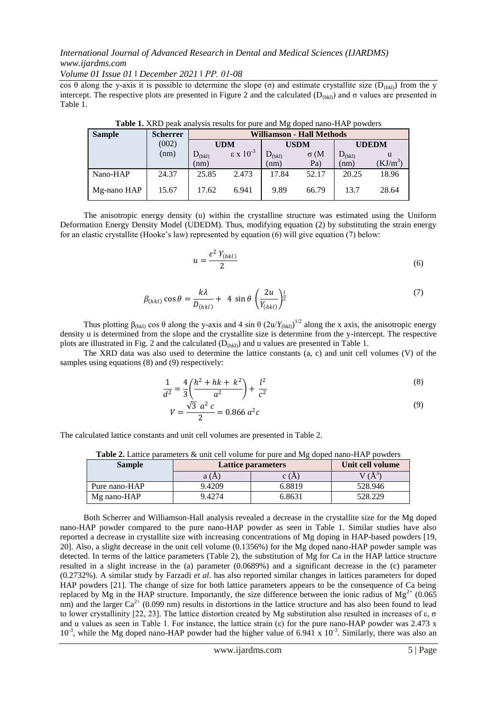*Volume 01 Issue 01 ǁ December 2021 ǁ PP. 01-08*

cos θ along the y-axis it is possible to determine the slope (σ) and estimate crystallite size (D<sub>(hkl</sub>)) from the y intercept. The respective plots are presented in Figure 2 and the calculated ( $D$ <sub>(hkl)</sub>) and σ values are presented in Table 1.

| <b>Sample</b> | <b>Scherrer</b> | Williamson - Hall Methods |                        |                    |             |              |            |
|---------------|-----------------|---------------------------|------------------------|--------------------|-------------|--------------|------------|
|               | (002)           | <b>UDM</b>                |                        | <b>USDM</b>        |             | <b>UDEDM</b> |            |
|               | (nm)            | $D_{(hkl)}$               | $\epsilon$ x $10^{-3}$ | $D_{\text{(hkl)}}$ | $\sigma$ (M | $D_{(hkl)}$  | u          |
|               |                 | (nm)                      |                        | (nm)               | Pa)         | (nm)         | $(KJ/m^3)$ |
| Nano-HAP      | 24.37           | 25.85                     | 2.473                  | 17.84              | 52.17       | 20.25        | 18.96      |
| Mg-nano HAP   | 15.67           | 17.62                     | 6.941                  | 9.89               | 66.79       | 13.7         | 28.64      |

**Table 1.** XRD peak analysis results for pure and Mg doped nano-HAP powders

The anisotropic energy density (u) within the crystalline structure was estimated using the Uniform Deformation Energy Density Model (UDEDM). Thus, modifying equation (2) by substituting the strain energy for an elastic crystallite (Hooke's law) represented by equation (6) will give equation (7) below:

$$
u = \frac{\varepsilon^2 Y_{(hkl)}}{2} \tag{6}
$$

$$
\beta_{(hkl)}\cos\theta = \frac{k\lambda}{D_{(hkl)}} + 4\sin\theta \left(\frac{2u}{Y_{(hkl)}}\right)^{\frac{1}{2}}
$$
\n(7)

Thus plotting  $\beta_{(hkl)}$  cos  $\theta$  along the y-axis and 4 sin  $\theta$   $(2u/Y_{(hkl)})^{1/2}$  along the x axis, the anisotropic energy density u is determined from the slope and the crystallite size is determine from the y-intercept. The respective plots are illustrated in Fig. 2 and the calculated  $(D<sub>(hkl)</sub>)$  and u values are presented in Table 1.

The XRD data was also used to determine the lattice constants (a, c) and unit cell volumes (V) of the samples using equations (8) and (9) respectively:

$$
\frac{1}{d^2} = \frac{4}{3} \left( \frac{h^2 + hk + k^2}{a^2} \right) + \frac{l^2}{c^2}
$$
\n(8)

$$
V = \frac{\sqrt{3} a^2 c}{2} = 0.866 a^2 c
$$
\n(9)

The calculated lattice constants and unit cell volumes are presented in Table 2.

**Table 2.** Lattice parameters & unit cell volume for pure and Mg doped nano-HAP powders

| <b>Sample</b> | Lattice parameters | Unit cell volume |              |
|---------------|--------------------|------------------|--------------|
|               | a (A               | C (A             | $\mathsf{A}$ |
| Pure nano-HAP | 9.4209             | 6.8819           | 528.946      |
| Mg nano-HAP   | 9.4274             | 6.8631           | 528.229      |

Both Scherrer and Williamson-Hall analysis revealed a decrease in the crystallite size for the Mg doped nano-HAP powder compared to the pure nano-HAP powder as seen in Table 1. Similar studies have also reported a decrease in crystallite size with increasing concentrations of Mg doping in HAP-based powders [19, 20]. Also, a slight decrease in the unit cell volume (0.1356%) for the Mg doped nano-HAP powder sample was detected. In terms of the lattice parameters (Table 2), the substitution of Mg for Ca in the HAP lattice structure resulted in a slight increase in the (a) parameter (0.0689%) and a significant decrease in the (c) parameter (0.2732%). A similar study by Farzadi *et al*. has also reported similar changes in lattices parameters for doped HAP powders [21]. The change of size for both lattice parameters appears to be the consequence of Ca being replaced by Mg in the HAP structure. Importantly, the size difference between the ionic radius of  $Mg^{2+}$  (0.065 nm) and the larger  $Ca^{2+}$  (0.099 nm) results in distortions in the lattice structure and has also been found to lead to lower crystallinity [22, 23]. The lattice distortion created by Mg substitution also resulted in increases of ε, σ and u values as seen in Table 1. For instance, the lattice strain ( $\varepsilon$ ) for the pure nano-HAP powder was 2.473 x  $10^{-3}$ , while the Mg doped nano-HAP powder had the higher value of 6.941 x  $10^{-3}$ . Similarly, there was also an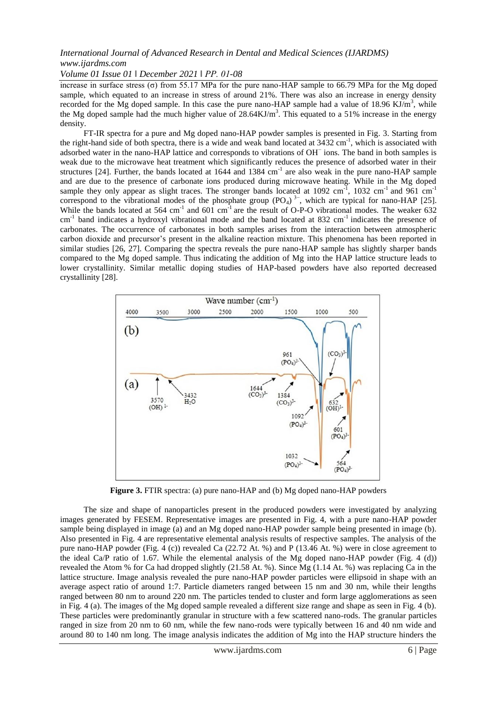*Volume 01 Issue 01 ǁ December 2021 ǁ PP. 01-08*

increase in surface stress (σ) from 55.17 MPa for the pure nano-HAP sample to 66.79 MPa for the Mg doped sample, which equated to an increase in stress of around 21%. There was also an increase in energy density recorded for the Mg doped sample. In this case the pure nano-HAP sample had a value of  $18.96 \text{ KJ/m}^3$ , while the Mg doped sample had the much higher value of  $28.64 \text{KJ/m}^3$ . This equated to a 51% increase in the energy density.

FT-IR spectra for a pure and Mg doped nano-HAP powder samples is presented in Fig. 3. Starting from the right-hand side of both spectra, there is a wide and weak band located at  $3432 \text{ cm}^{-1}$ , which is associated with adsorbed water in the nano-HAP lattice and corresponds to vibrations of OH<sup>−</sup> ions. The band in both samples is weak due to the microwave heat treatment which significantly reduces the presence of adsorbed water in their structures [24]. Further, the bands located at  $1644$  and  $1384 \text{ cm}^{-1}$  are also weak in the pure nano-HAP sample and are due to the presence of carbonate ions produced during microwave heating. While in the Mg doped sample they only appear as slight traces. The stronger bands located at 1092 cm<sup>-1</sup>, 1032 cm<sup>-1</sup> and 961 cm<sup>-1</sup> correspond to the vibrational modes of the phosphate group  $(PO<sub>4</sub>)$ <sup>3-</sup>, which are typical for nano-HAP [25]. While the bands located at 564 cm<sup>-1</sup> and 601 cm<sup>-1</sup> are the result of O-P-O vibrational modes. The weaker 632  $cm^{-1}$  band indicates a hydroxyl vibrational mode and the band located at 832  $cm^{-1}$  indicates the presence of carbonates. The occurrence of carbonates in both samples arises from the interaction between atmospheric carbon dioxide and precursor's present in the alkaline reaction mixture. This phenomena has been reported in similar studies [26, 27]. Comparing the spectra reveals the pure nano-HAP sample has slightly sharper bands compared to the Mg doped sample. Thus indicating the addition of Mg into the HAP lattice structure leads to lower crystallinity. Similar metallic doping studies of HAP-based powders have also reported decreased crystallinity [28].



**Figure 3.** FTIR spectra: (a) pure nano-HAP and (b) Mg doped nano-HAP powders

The size and shape of nanoparticles present in the produced powders were investigated by analyzing images generated by FESEM. Representative images are presented in Fig. 4, with a pure nano-HAP powder sample being displayed in image (a) and an Mg doped nano-HAP powder sample being presented in image (b). Also presented in Fig. 4 are representative elemental analysis results of respective samples. The analysis of the pure nano-HAP powder (Fig. 4 (c)) revealed Ca (22.72 At. %) and P (13.46 At. %) were in close agreement to the ideal Ca/P ratio of 1.67. While the elemental analysis of the Mg doped nano-HAP powder (Fig. 4 (d)) revealed the Atom % for Ca had dropped slightly (21.58 At. %). Since Mg (1.14 At. %) was replacing Ca in the lattice structure. Image analysis revealed the pure nano-HAP powder particles were ellipsoid in shape with an average aspect ratio of around 1:7. Particle diameters ranged between 15 nm and 30 nm, while their lengths ranged between 80 nm to around 220 nm. The particles tended to cluster and form large agglomerations as seen in Fig. 4 (a). The images of the Mg doped sample revealed a different size range and shape as seen in Fig. 4 (b). These particles were predominantly granular in structure with a few scattered nano-rods. The granular particles ranged in size from 20 nm to 60 nm, while the few nano-rods were typically between 16 and 40 nm wide and around 80 to 140 nm long. The image analysis indicates the addition of Mg into the HAP structure hinders the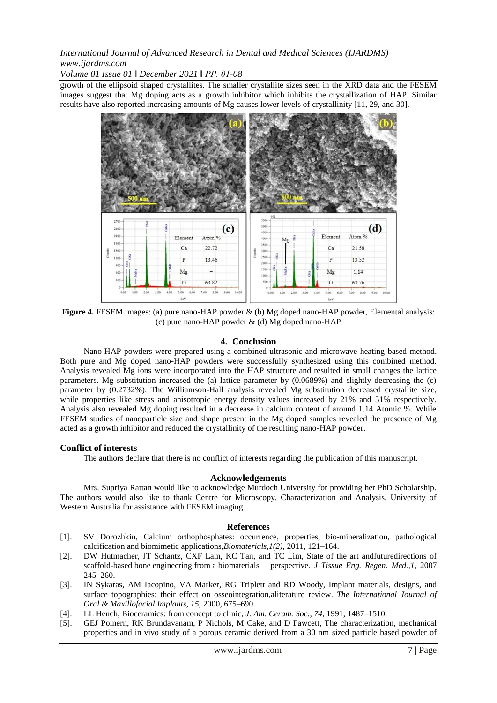*Volume 01 Issue 01 ǁ December 2021 ǁ PP. 01-08*

growth of the ellipsoid shaped crystallites. The smaller crystallite sizes seen in the XRD data and the FESEM images suggest that Mg doping acts as a growth inhibitor which inhibits the crystallization of HAP. Similar results have also reported increasing amounts of Mg causes lower levels of crystallinity [11, 29, and 30].



**Figure 4.** FESEM images: (a) pure nano-HAP powder & (b) Mg doped nano-HAP powder, Elemental analysis: (c) pure nano-HAP powder & (d) Mg doped nano-HAP

#### **4. Conclusion**

Nano-HAP powders were prepared using a combined ultrasonic and microwave heating-based method. Both pure and Mg doped nano-HAP powders were successfully synthesized using this combined method. Analysis revealed Mg ions were incorporated into the HAP structure and resulted in small changes the lattice parameters. Mg substitution increased the (a) lattice parameter by (0.0689%) and slightly decreasing the (c) parameter by (0.2732%). The Williamson-Hall analysis revealed Mg substitution decreased crystallite size, while properties like stress and anisotropic energy density values increased by 21% and 51% respectively. Analysis also revealed Mg doping resulted in a decrease in calcium content of around 1.14 Atomic %. While FESEM studies of nanoparticle size and shape present in the Mg doped samples revealed the presence of Mg acted as a growth inhibitor and reduced the crystallinity of the resulting nano-HAP powder.

#### **Conflict of interests**

The authors declare that there is no conflict of interests regarding the publication of this manuscript.

#### **Acknowledgements**

Mrs. Supriya Rattan would like to acknowledge Murdoch University for providing her PhD Scholarship. The authors would also like to thank Centre for Microscopy, Characterization and Analysis, University of Western Australia for assistance with FESEM imaging.

#### **References**

- [1]. SV Dorozhkin, Calcium orthophosphates: occurrence, properties, bio-mineralization, pathological calcification and biomimetic applications,*Biomaterials,1(2)*, 2011, 121–164.
- [2]. DW Hutmacher, JT Schantz, CXF Lam, KC Tan, and TC Lim, State of the art andfuturedirections of scaffold-based bone engineering from a biomaterials perspective. *J Tissue Eng. Regen. Med.,1,* 2007 245–260.
- [3]. IN Sykaras, AM Iacopino, VA Marker, RG Triplett and RD Woody, Implant materials, designs, and surface topographies: their effect on osseointegration,aliterature review. *The International Journal of Oral & Maxillofacial Implants, 15,* 2000, 675–690.
- [4]. LL Hench, Bioceramics: from concept to clinic, *J. Am. Ceram. Soc.*, *74*, 1991, 1487–1510.
- [5]. GEJ Poinern, RK Brundavanam, P Nichols, M Cake, and D Fawcett, The characterization, mechanical properties and in vivo study of a porous ceramic derived from a 30 nm sized particle based powder of